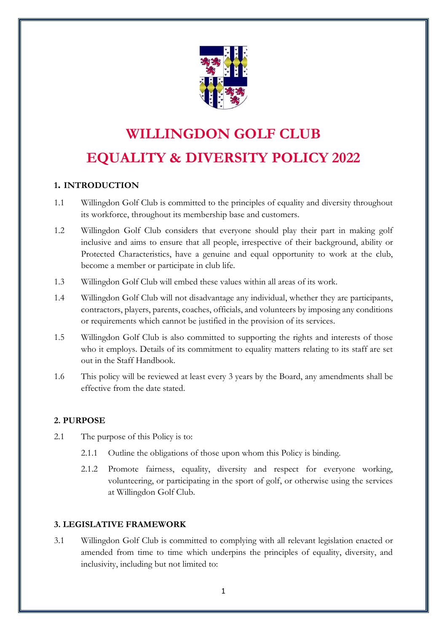

# **WILLINGDON GOLF CLUB EQUALITY & DIVERSITY POLICY 2022**

# **1. INTRODUCTION**

- 1.1 Willingdon Golf Club is committed to the principles of equality and diversity throughout its workforce, throughout its membership base and customers.
- 1.2 Willingdon Golf Club considers that everyone should play their part in making golf inclusive and aims to ensure that all people, irrespective of their background, ability or Protected Characteristics, have a genuine and equal opportunity to work at the club, become a member or participate in club life.
- 1.3 Willingdon Golf Club will embed these values within all areas of its work.
- 1.4 Willingdon Golf Club will not disadvantage any individual, whether they are participants, contractors, players, parents, coaches, officials, and volunteers by imposing any conditions or requirements which cannot be justified in the provision of its services.
- 1.5 Willingdon Golf Club is also committed to supporting the rights and interests of those who it employs. Details of its commitment to equality matters relating to its staff are set out in the Staff Handbook.
- 1.6 This policy will be reviewed at least every 3 years by the Board, any amendments shall be effective from the date stated.

# **2. PURPOSE**

- 2.1 The purpose of this Policy is to:
	- 2.1.1 Outline the obligations of those upon whom this Policy is binding.
	- 2.1.2 Promote fairness, equality, diversity and respect for everyone working, volunteering, or participating in the sport of golf, or otherwise using the services at Willingdon Golf Club.

# **3. LEGISLATIVE FRAMEWORK**

3.1 Willingdon Golf Club is committed to complying with all relevant legislation enacted or amended from time to time which underpins the principles of equality, diversity, and inclusivity, including but not limited to: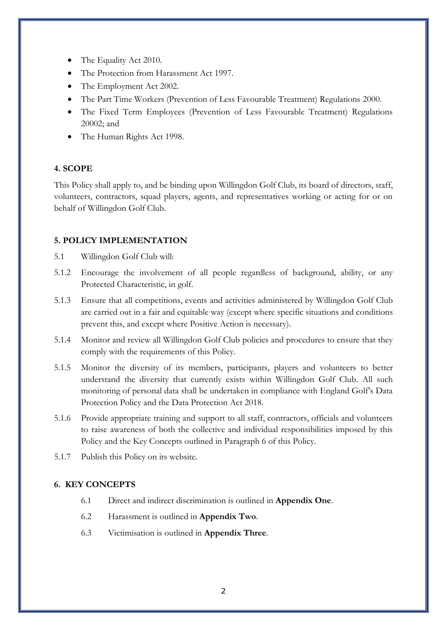- The Equality Act 2010.
- The Protection from Harassment Act 1997.
- The Employment Act 2002.
- The Part Time Workers (Prevention of Less Favourable Treatment) Regulations 2000.
- The Fixed Term Employees (Prevention of Less Favourable Treatment) Regulations 20002; and
- The Human Rights Act 1998.

# **4. SCOPE**

This Policy shall apply to, and be binding upon Willingdon Golf Club, its board of directors, staff, volunteers, contractors, squad players, agents, and representatives working or acting for or on behalf of Willingdon Golf Club.

# **5. POLICY IMPLEMENTATION**

- 5.1 Willingdon Golf Club will:
- 5.1.2 Encourage the involvement of all people regardless of background, ability, or any Protected Characteristic, in golf.
- 5.1.3 Ensure that all competitions, events and activities administered by Willingdon Golf Club are carried out in a fair and equitable way (except where specific situations and conditions prevent this, and except where Positive Action is necessary).
- 5.1.4 Monitor and review all Willingdon Golf Club policies and procedures to ensure that they comply with the requirements of this Policy.
- 5.1.5 Monitor the diversity of its members, participants, players and volunteers to better understand the diversity that currently exists within Willingdon Golf Club. All such monitoring of personal data shall be undertaken in compliance with England Golf's Data Protection Policy and the Data Protection Act 2018.
- 5.1.6 Provide appropriate training and support to all staff, contractors, officials and volunteers to raise awareness of both the collective and individual responsibilities imposed by this Policy and the Key Concepts outlined in Paragraph 6 of this Policy.
- 5.1.7 Publish this Policy on its website.

# **6. KEY CONCEPTS**

- 6.1 Direct and indirect discrimination is outlined in **Appendix One**.
- 6.2 Harassment is outlined in **Appendix Two**.
- 6.3 Victimisation is outlined in **Appendix Three**.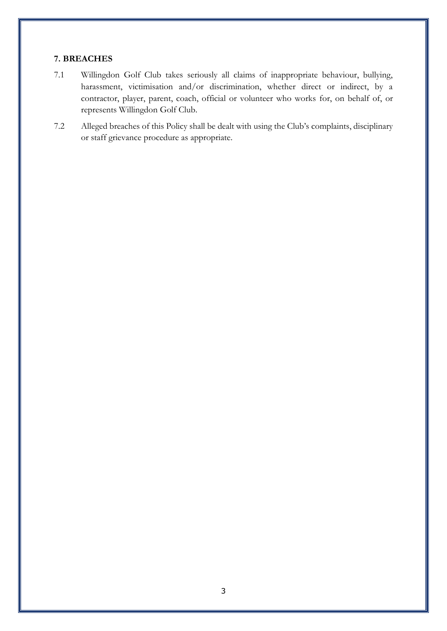# **7. BREACHES**

- 7.1 Willingdon Golf Club takes seriously all claims of inappropriate behaviour, bullying, harassment, victimisation and/or discrimination, whether direct or indirect, by a contractor, player, parent, coach, official or volunteer who works for, on behalf of, or represents Willingdon Golf Club.
- 7.2 Alleged breaches of this Policy shall be dealt with using the Club's complaints, disciplinary or staff grievance procedure as appropriate.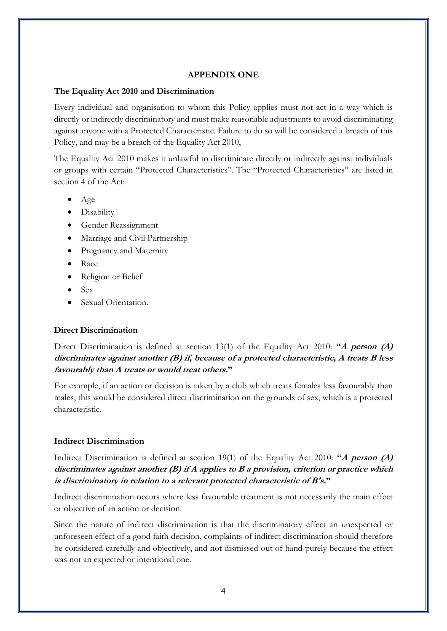#### **APPENDIX ONE**

#### **The Equality Act 2010 and Discrimination**

Every individual and organisation to whom this Policy applies must not act in a way which is directly or indirectly discriminatory and must make reasonable adjustments to avoid discriminating against anyone with a Protected Characteristic. Failure to do so will be considered a breach of this Policy, and may be a breach of the Equality Act 2010,

The Equality Act 2010 makes it unlawful to discriminate directly or indirectly against individuals or groups with certain "Protected Characteristics". The "Protected Characteristics" are listed in section 4 of the Act:

- Age
- Disability
- Gender Reassignment
- Marriage and Civil Partnership
- Pregnancy and Maternity
- Race
- Religion or Belief
- Sex
- Sexual Orientation.

#### **Direct Discrimination**

Direct Discrimination is defined at section 13(1) of the Equality Act 2010: **"A person (A) discriminates against another (B) if, because of a protected characteristic, A treats B less favourably than A treats or would treat others."**

For example, if an action or decision is taken by a club which treats females less favourably than males, this would be considered direct discrimination on the grounds of sex, which is a protected characteristic.

#### **Indirect Discrimination**

Indirect Discrimination is defined at section 19(1) of the Equality Act 2010: **"A person (A) discriminates against another (B) if A applies to B a provision, criterion or practice which is discriminatory in relation to a relevant protected characteristic of B's."**

Indirect discrimination occurs where less favourable treatment is not necessarily the main effect or objective of an action or decision.

Since the nature of indirect discrimination is that the discriminatory effect an unexpected or unforeseen effect of a good faith decision, complaints of indirect discrimination should therefore be considered carefully and objectively, and not dismissed out of hand purely because the effect was not an expected or intentional one.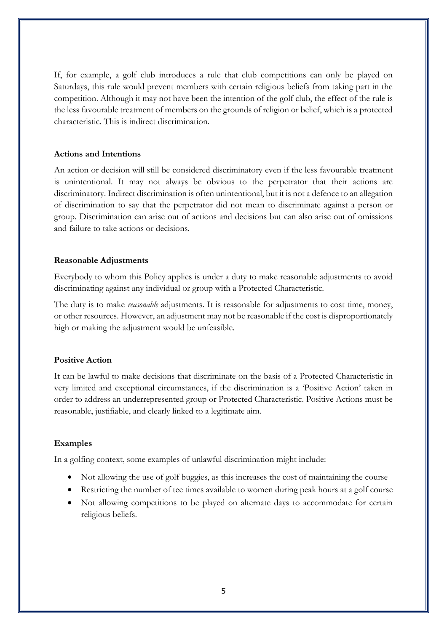If, for example, a golf club introduces a rule that club competitions can only be played on Saturdays, this rule would prevent members with certain religious beliefs from taking part in the competition. Although it may not have been the intention of the golf club, the effect of the rule is the less favourable treatment of members on the grounds of religion or belief, which is a protected characteristic. This is indirect discrimination.

#### **Actions and Intentions**

An action or decision will still be considered discriminatory even if the less favourable treatment is unintentional. It may not always be obvious to the perpetrator that their actions are discriminatory. Indirect discrimination is often unintentional, but it is not a defence to an allegation of discrimination to say that the perpetrator did not mean to discriminate against a person or group. Discrimination can arise out of actions and decisions but can also arise out of omissions and failure to take actions or decisions.

#### **Reasonable Adjustments**

Everybody to whom this Policy applies is under a duty to make reasonable adjustments to avoid discriminating against any individual or group with a Protected Characteristic.

The duty is to make *reasonable* adjustments. It is reasonable for adjustments to cost time, money, or other resources. However, an adjustment may not be reasonable if the cost is disproportionately high or making the adjustment would be unfeasible.

## **Positive Action**

It can be lawful to make decisions that discriminate on the basis of a Protected Characteristic in very limited and exceptional circumstances, if the discrimination is a 'Positive Action' taken in order to address an underrepresented group or Protected Characteristic. Positive Actions must be reasonable, justifiable, and clearly linked to a legitimate aim.

#### **Examples**

In a golfing context, some examples of unlawful discrimination might include:

- Not allowing the use of golf buggies, as this increases the cost of maintaining the course
- Restricting the number of tee times available to women during peak hours at a golf course
- Not allowing competitions to be played on alternate days to accommodate for certain religious beliefs.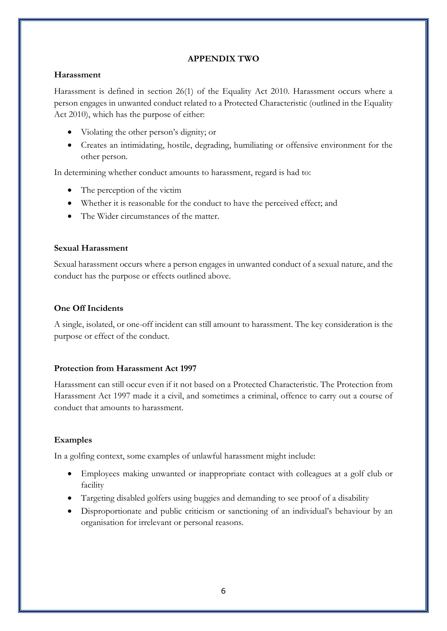## **APPENDIX TWO**

## **Harassment**

Harassment is defined in section 26(1) of the Equality Act 2010. Harassment occurs where a person engages in unwanted conduct related to a Protected Characteristic (outlined in the Equality Act 2010), which has the purpose of either:

- Violating the other person's dignity; or
- Creates an intimidating, hostile, degrading, humiliating or offensive environment for the other person.

In determining whether conduct amounts to harassment, regard is had to:

- The perception of the victim
- Whether it is reasonable for the conduct to have the perceived effect; and
- The Wider circumstances of the matter.

# **Sexual Harassment**

Sexual harassment occurs where a person engages in unwanted conduct of a sexual nature, and the conduct has the purpose or effects outlined above.

# **One Off Incidents**

A single, isolated, or one-off incident can still amount to harassment. The key consideration is the purpose or effect of the conduct.

# **Protection from Harassment Act 1997**

Harassment can still occur even if it not based on a Protected Characteristic. The Protection from Harassment Act 1997 made it a civil, and sometimes a criminal, offence to carry out a course of conduct that amounts to harassment.

# **Examples**

In a golfing context, some examples of unlawful harassment might include:

- Employees making unwanted or inappropriate contact with colleagues at a golf club or facility
- Targeting disabled golfers using buggies and demanding to see proof of a disability
- Disproportionate and public criticism or sanctioning of an individual's behaviour by an organisation for irrelevant or personal reasons.